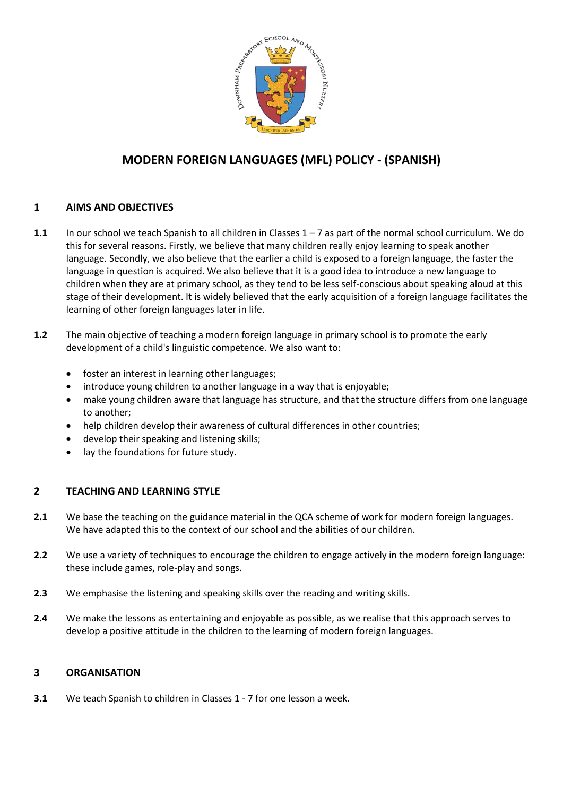

# **MODERN FOREIGN LANGUAGES (MFL) POLICY - (SPANISH)**

### **1 AIMS AND OBJECTIVES**

- **1.1** In our school we teach Spanish to all children in Classes 1 7 as part of the normal school curriculum. We do this for several reasons. Firstly, we believe that many children really enjoy learning to speak another language. Secondly, we also believe that the earlier a child is exposed to a foreign language, the faster the language in question is acquired. We also believe that it is a good idea to introduce a new language to children when they are at primary school, as they tend to be less self-conscious about speaking aloud at this stage of their development. It is widely believed that the early acquisition of a foreign language facilitates the learning of other foreign languages later in life.
- **1.2** The main objective of teaching a modern foreign language in primary school is to promote the early development of a child's linguistic competence. We also want to:
	- foster an interest in learning other languages;
	- introduce young children to another language in a way that is enjoyable;
	- make young children aware that language has structure, and that the structure differs from one language to another;
	- help children develop their awareness of cultural differences in other countries;
	- develop their speaking and listening skills;
	- lay the foundations for future study.

#### **2 TEACHING AND LEARNING STYLE**

- **2.1** We base the teaching on the guidance material in the QCA scheme of work for modern foreign languages. We have adapted this to the context of our school and the abilities of our children.
- **2.2** We use a variety of techniques to encourage the children to engage actively in the modern foreign language: these include games, role-play and songs.
- **2.3** We emphasise the listening and speaking skills over the reading and writing skills.
- **2.4** We make the lessons as entertaining and enjoyable as possible, as we realise that this approach serves to develop a positive attitude in the children to the learning of modern foreign languages.

#### **3 ORGANISATION**

**3.1** We teach Spanish to children in Classes 1 - 7 for one lesson a week.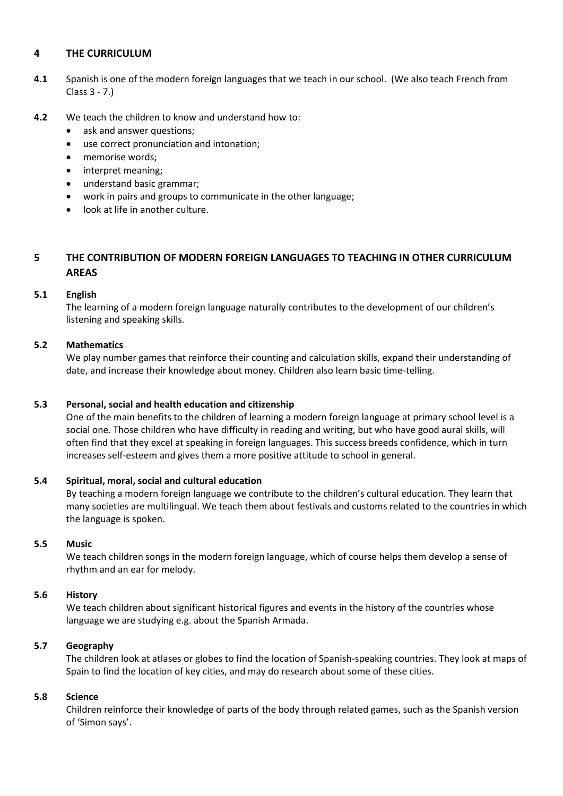#### **4 THE CURRICULUM**

- **4.1** Spanish is one of the modern foreign languages that we teach in our school. (We also teach French from Class 3 - 7.)
- **4.2** We teach the children to know and understand how to:
	- ask and answer questions;
	- use correct pronunciation and intonation;
	- memorise words;
	- interpret meaning;
	- understand basic grammar;
	- work in pairs and groups to communicate in the other language;
	- look at life in another culture.

## **5 THE CONTRIBUTION OF MODERN FOREIGN LANGUAGES TO TEACHING IN OTHER CURRICULUM AREAS**

#### **5.1 English**

The learning of a modern foreign language naturally contributes to the development of our children's listening and speaking skills.

### **5.2 Mathematics**

We play number games that reinforce their counting and calculation skills, expand their understanding of date, and increase their knowledge about money. Children also learn basic time-telling.

#### **5.3 Personal, social and health education and citizenship**

One of the main benefits to the children of learning a modern foreign language at primary school level is a social one. Those children who have difficulty in reading and writing, but who have good aural skills, will often find that they excel at speaking in foreign languages. This success breeds confidence, which in turn increases self-esteem and gives them a more positive attitude to school in general.

#### **5.4 Spiritual, moral, social and cultural education**

By teaching a modern foreign language we contribute to the children's cultural education. They learn that many societies are multilingual. We teach them about festivals and customs related to the countries in which the language is spoken.

#### **5.5 Music**

We teach children songs in the modern foreign language, which of course helps them develop a sense of rhythm and an ear for melody.

#### **5.6 History**

We teach children about significant historical figures and events in the history of the countries whose language we are studying e.g. about the Spanish Armada.

#### **5.7 Geography**

 The children look at atlases or globes to find the location of Spanish-speaking countries. They look at maps of Spain to find the location of key cities, and may do research about some of these cities.

#### **5.8 Science**

 Children reinforce their knowledge of parts of the body through related games, such as the Spanish version of 'Simon says'.